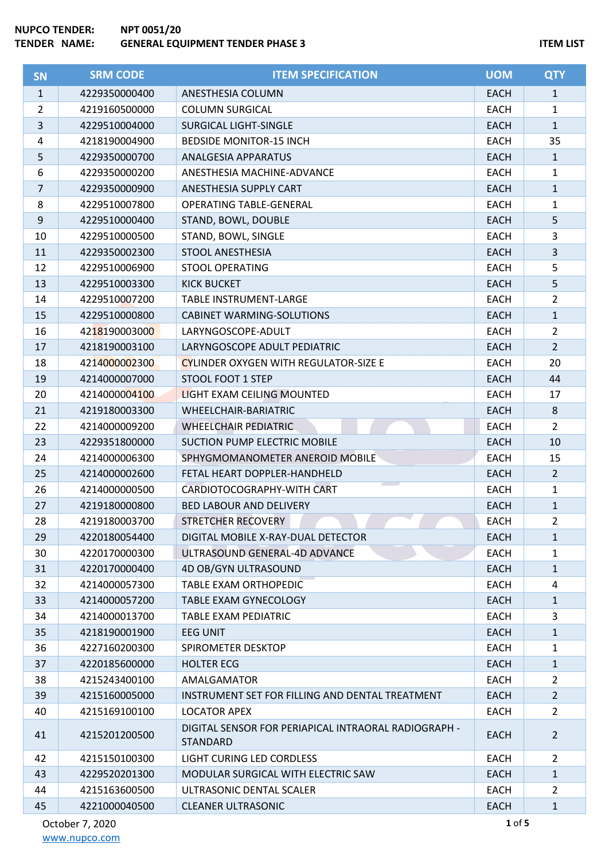| <b>SN</b>      | <b>SRM CODE</b> | <b>ITEM SPECIFICATION</b>                                        | <b>UOM</b>  | <b>QTY</b>     |
|----------------|-----------------|------------------------------------------------------------------|-------------|----------------|
| $\mathbf{1}$   | 4229350000400   | ANESTHESIA COLUMN                                                | <b>EACH</b> | $\mathbf{1}$   |
| $\overline{2}$ | 4219160500000   | <b>COLUMN SURGICAL</b>                                           | <b>EACH</b> | $\mathbf{1}$   |
| $\overline{3}$ | 4229510004000   | SURGICAL LIGHT-SINGLE                                            | <b>EACH</b> | $\mathbf{1}$   |
| 4              | 4218190004900   | <b>BEDSIDE MONITOR-15 INCH</b>                                   | <b>EACH</b> | 35             |
| 5              | 4229350000700   | <b>ANALGESIA APPARATUS</b>                                       | <b>EACH</b> | $\mathbf{1}$   |
| 6              | 4229350000200   | ANESTHESIA MACHINE-ADVANCE                                       | EACH        | $\mathbf{1}$   |
| $\overline{7}$ | 4229350000900   | ANESTHESIA SUPPLY CART                                           | <b>EACH</b> | $\mathbf{1}$   |
| 8              | 4229510007800   | OPERATING TABLE-GENERAL                                          | <b>EACH</b> | $\mathbf{1}$   |
| 9              | 4229510000400   | STAND, BOWL, DOUBLE                                              | <b>EACH</b> | 5              |
| 10             | 4229510000500   | STAND, BOWL, SINGLE                                              | <b>EACH</b> | 3              |
| 11             | 4229350002300   | <b>STOOL ANESTHESIA</b>                                          | <b>EACH</b> | 3              |
| 12             | 4229510006900   | <b>STOOL OPERATING</b>                                           | <b>EACH</b> | 5              |
| 13             | 4229510003300   | <b>KICK BUCKET</b>                                               | EACH        | 5              |
| 14             | 4229510007200   | TABLE INSTRUMENT-LARGE                                           | <b>EACH</b> | $\overline{2}$ |
| 15             | 4229510000800   | <b>CABINET WARMING-SOLUTIONS</b>                                 | <b>EACH</b> | $\mathbf{1}$   |
| 16             | 4218190003000   | LARYNGOSCOPE-ADULT                                               | <b>EACH</b> | $\overline{2}$ |
| 17             | 4218190003100   | LARYNGOSCOPE ADULT PEDIATRIC                                     | <b>EACH</b> | $\overline{2}$ |
| 18             | 4214000002300   | CYLINDER OXYGEN WITH REGULATOR-SIZE E                            | <b>EACH</b> | 20             |
| 19             | 4214000007000   | <b>STOOL FOOT 1 STEP</b>                                         | <b>EACH</b> | 44             |
| 20             | 4214000004100   | LIGHT EXAM CEILING MOUNTED                                       | <b>EACH</b> | 17             |
| 21             | 4219180003300   | WHEELCHAIR-BARIATRIC                                             | <b>EACH</b> | 8              |
| 22             | 4214000009200   | <b>WHEELCHAIR PEDIATRIC</b>                                      | <b>EACH</b> | $\overline{2}$ |
| 23             | 4229351800000   | <b>SUCTION PUMP ELECTRIC MOBILE</b>                              | <b>EACH</b> | 10             |
| 24             | 4214000006300   | SPHYGMOMANOMETER ANEROID MOBILE                                  | EACH        | 15             |
| 25             | 4214000002600   | FETAL HEART DOPPLER-HANDHELD                                     | <b>EACH</b> | $\overline{2}$ |
| 26             | 4214000000500   | CARDIOTOCOGRAPHY-WITH CART                                       | <b>EACH</b> | $\mathbf{1}$   |
| 27             | 4219180000800   | <b>BED LABOUR AND DELIVERY</b>                                   | <b>EACH</b> | $\mathbf{1}$   |
| 28             | 4219180003700   | <b>STRETCHER RECOVERY</b>                                        | <b>EACH</b> | $\overline{2}$ |
| 29             | 4220180054400   | DIGITAL MOBILE X-RAY-DUAL DETECTOR                               | EACH        | $\mathbf{1}$   |
| 30             | 4220170000300   | ULTRASOUND GENERAL-4D ADVANCE                                    | <b>EACH</b> | 1              |
| 31             | 4220170000400   | 4D OB/GYN ULTRASOUND                                             | <b>EACH</b> | $\mathbf{1}$   |
| 32             | 4214000057300   | <b>TABLE EXAM ORTHOPEDIC</b>                                     | <b>EACH</b> | 4              |
| 33             | 4214000057200   | TABLE EXAM GYNECOLOGY                                            | <b>EACH</b> | $\mathbf{1}$   |
| 34             | 4214000013700   | TABLE EXAM PEDIATRIC                                             | <b>EACH</b> | 3              |
| 35             | 4218190001900   | <b>EEG UNIT</b>                                                  | EACH        | $\mathbf{1}$   |
| 36             | 4227160200300   | SPIROMETER DESKTOP                                               | EACH        | 1              |
| 37             | 4220185600000   | <b>HOLTER ECG</b>                                                | EACH        | 1              |
| 38             | 4215243400100   | AMALGAMATOR                                                      | <b>EACH</b> | 2              |
| 39             | 4215160005000   | INSTRUMENT SET FOR FILLING AND DENTAL TREATMENT                  | <b>EACH</b> | $\overline{2}$ |
| 40             | 4215169100100   | <b>LOCATOR APEX</b>                                              | <b>EACH</b> | $\overline{2}$ |
| 41             | 4215201200500   | DIGITAL SENSOR FOR PERIAPICAL INTRAORAL RADIOGRAPH -<br>STANDARD | EACH        | $\overline{2}$ |
| 42             | 4215150100300   | LIGHT CURING LED CORDLESS                                        | EACH        | $\overline{2}$ |
| 43             | 4229520201300   | MODULAR SURGICAL WITH ELECTRIC SAW                               | EACH        | 1              |
| 44             | 4215163600500   | ULTRASONIC DENTAL SCALER                                         | <b>EACH</b> | 2              |
| 45             | 4221000040500   | <b>CLEANER ULTRASONIC</b>                                        | <b>EACH</b> | $\mathbf{1}$   |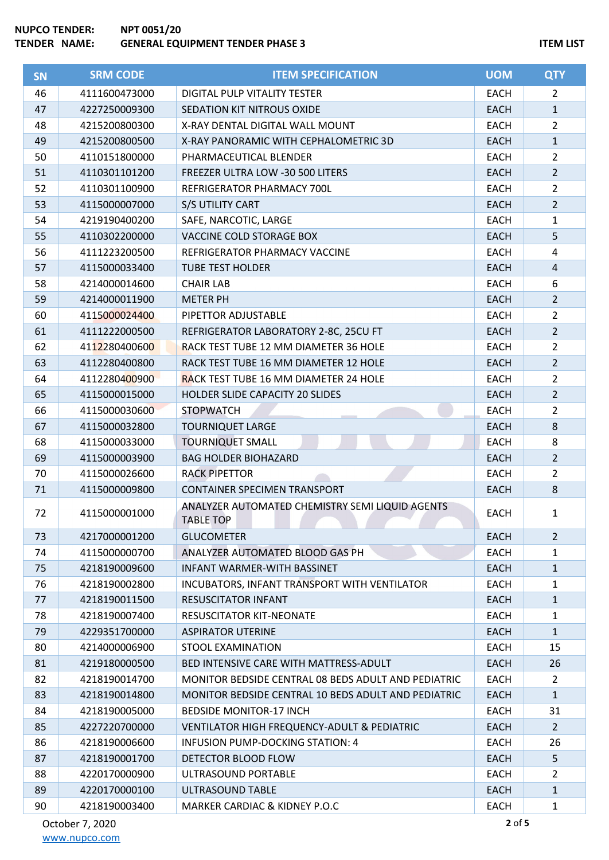| <b>SN</b> | <b>SRM CODE</b> | <b>ITEM SPECIFICATION</b>                                           | <b>UOM</b>  | <b>QTY</b>     |
|-----------|-----------------|---------------------------------------------------------------------|-------------|----------------|
| 46        | 4111600473000   | DIGITAL PULP VITALITY TESTER                                        | <b>EACH</b> | $\overline{2}$ |
| 47        | 4227250009300   | SEDATION KIT NITROUS OXIDE                                          | <b>EACH</b> | $\mathbf{1}$   |
| 48        | 4215200800300   | X-RAY DENTAL DIGITAL WALL MOUNT                                     | <b>EACH</b> | $\overline{2}$ |
| 49        | 4215200800500   | X-RAY PANORAMIC WITH CEPHALOMETRIC 3D                               | <b>EACH</b> | $\mathbf{1}$   |
| 50        | 4110151800000   | PHARMACEUTICAL BLENDER                                              | <b>EACH</b> | $\overline{2}$ |
| 51        | 4110301101200   | <b>FREEZER ULTRA LOW -30 500 LITERS</b>                             | <b>EACH</b> | $\overline{2}$ |
| 52        | 4110301100900   | REFRIGERATOR PHARMACY 700L                                          | <b>EACH</b> | $\overline{2}$ |
| 53        | 4115000007000   | S/S UTILITY CART                                                    | <b>EACH</b> | $\overline{2}$ |
| 54        | 4219190400200   | SAFE, NARCOTIC, LARGE                                               | <b>EACH</b> | $\mathbf{1}$   |
| 55        | 4110302200000   | VACCINE COLD STORAGE BOX                                            | <b>EACH</b> | 5              |
| 56        | 4111223200500   | REFRIGERATOR PHARMACY VACCINE                                       | <b>EACH</b> | 4              |
| 57        | 4115000033400   | <b>TUBE TEST HOLDER</b>                                             | <b>EACH</b> | $\overline{4}$ |
| 58        | 4214000014600   | <b>CHAIR LAB</b>                                                    | <b>EACH</b> | 6              |
| 59        | 4214000011900   | <b>METER PH</b>                                                     | <b>EACH</b> | $\overline{2}$ |
| 60        | 4115000024400   | PIPETTOR ADJUSTABLE                                                 | <b>EACH</b> | $\overline{2}$ |
| 61        | 4111222000500   | REFRIGERATOR LABORATORY 2-8C, 25CU FT                               | <b>EACH</b> | $\overline{2}$ |
| 62        | 4112280400600   | RACK TEST TUBE 12 MM DIAMETER 36 HOLE                               | <b>EACH</b> | $\overline{2}$ |
| 63        | 4112280400800   | RACK TEST TUBE 16 MM DIAMETER 12 HOLE                               | <b>EACH</b> | $\overline{2}$ |
| 64        | 4112280400900   | RACK TEST TUBE 16 MM DIAMETER 24 HOLE                               | <b>EACH</b> | $\overline{2}$ |
| 65        | 4115000015000   | HOLDER SLIDE CAPACITY 20 SLIDES                                     | <b>EACH</b> | $\overline{2}$ |
| 66        | 4115000030600   | <b>STOPWATCH</b>                                                    | <b>EACH</b> | $\overline{2}$ |
| 67        | 4115000032800   | <b>TOURNIQUET LARGE</b>                                             | <b>EACH</b> | 8              |
| 68        | 4115000033000   | <b>TOURNIQUET SMALL</b>                                             | <b>EACH</b> | 8              |
| 69        | 4115000003900   | <b>BAG HOLDER BIOHAZARD</b>                                         | <b>EACH</b> | $\overline{2}$ |
| 70        | 4115000026600   | <b>RACK PIPETTOR</b>                                                | <b>EACH</b> | $\overline{2}$ |
| 71        | 4115000009800   | <b>CONTAINER SPECIMEN TRANSPORT</b>                                 | <b>EACH</b> | 8              |
| 72        | 4115000001000   | ANALYZER AUTOMATED CHEMISTRY SEMI LIQUID AGENTS<br><b>TABLE TOP</b> | <b>EACH</b> | $\mathbf{1}$   |
| 73        | 4217000001200   | <b>GLUCOMETER</b>                                                   | <b>EACH</b> | $\overline{2}$ |
| 74        | 4115000000700   | ANALYZER AUTOMATED BLOOD GAS PH                                     | <b>EACH</b> | $\mathbf{1}$   |
| 75        | 4218190009600   | <b>INFANT WARMER-WITH BASSINET</b>                                  | <b>EACH</b> | $\mathbf{1}$   |
| 76        | 4218190002800   | INCUBATORS, INFANT TRANSPORT WITH VENTILATOR                        | <b>EACH</b> | $\mathbf{1}$   |
| 77        | 4218190011500   | RESUSCITATOR INFANT                                                 | <b>EACH</b> | $\mathbf{1}$   |
| 78        | 4218190007400   | <b>RESUSCITATOR KIT-NEONATE</b>                                     | <b>EACH</b> | 1              |
| 79        | 4229351700000   | <b>ASPIRATOR UTERINE</b>                                            | <b>EACH</b> | $\mathbf{1}$   |
| 80        | 4214000006900   | <b>STOOL EXAMINATION</b>                                            | EACH        | 15             |
| 81        | 4219180000500   | BED INTENSIVE CARE WITH MATTRESS-ADULT                              | <b>EACH</b> | 26             |
| 82        | 4218190014700   | MONITOR BEDSIDE CENTRAL 08 BEDS ADULT AND PEDIATRIC                 | EACH        | $\overline{2}$ |
| 83        | 4218190014800   | MONITOR BEDSIDE CENTRAL 10 BEDS ADULT AND PEDIATRIC                 | <b>EACH</b> | $\mathbf{1}$   |
| 84        | 4218190005000   | <b>BEDSIDE MONITOR-17 INCH</b>                                      | EACH        | 31             |
| 85        | 4227220700000   | VENTILATOR HIGH FREQUENCY-ADULT & PEDIATRIC                         | <b>EACH</b> | $\overline{2}$ |
| 86        | 4218190006600   | <b>INFUSION PUMP-DOCKING STATION: 4</b>                             | <b>EACH</b> | 26             |
| 87        | 4218190001700   | DETECTOR BLOOD FLOW                                                 | <b>EACH</b> | 5              |
| 88        | 4220170000900   | ULTRASOUND PORTABLE                                                 | <b>EACH</b> | $\overline{2}$ |
| 89        | 4220170000100   | ULTRASOUND TABLE                                                    | <b>EACH</b> | $\mathbf{1}$   |
| 90        | 4218190003400   | MARKER CARDIAC & KIDNEY P.O.C                                       | <b>EACH</b> | $\mathbf{1}$   |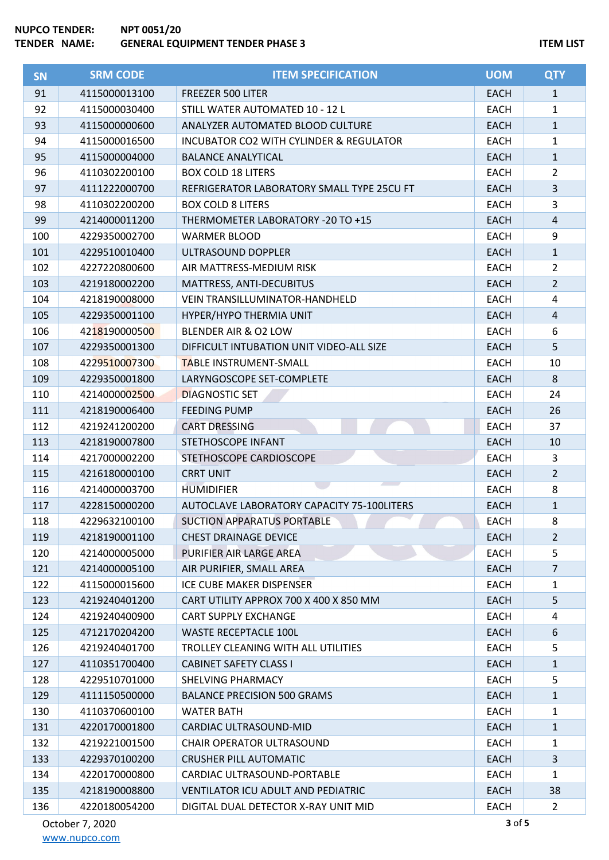| <b>SN</b>  | <b>SRM CODE</b>                | <b>ITEM SPECIFICATION</b>                                             | <b>UOM</b>                 | <b>QTY</b>     |
|------------|--------------------------------|-----------------------------------------------------------------------|----------------------------|----------------|
| 91         | 4115000013100                  | FREEZER 500 LITER                                                     | <b>EACH</b>                | 1              |
| 92         | 4115000030400                  | STILL WATER AUTOMATED 10 - 12 L                                       | <b>EACH</b>                | 1              |
| 93         | 4115000000600                  | ANALYZER AUTOMATED BLOOD CULTURE                                      | <b>EACH</b>                | $\mathbf{1}$   |
| 94         | 4115000016500                  | <b>INCUBATOR CO2 WITH CYLINDER &amp; REGULATOR</b>                    | <b>EACH</b>                | 1              |
| 95         | 4115000004000                  | <b>BALANCE ANALYTICAL</b>                                             | <b>EACH</b>                | $\mathbf{1}$   |
| 96         | 4110302200100                  | <b>BOX COLD 18 LITERS</b>                                             | EACH                       | $\overline{2}$ |
| 97         | 4111222000700                  | REFRIGERATOR LABORATORY SMALL TYPE 25CU FT                            | <b>EACH</b>                | 3              |
| 98         | 4110302200200                  | <b>BOX COLD 8 LITERS</b>                                              | <b>EACH</b>                | 3              |
| 99         | 4214000011200                  | THERMOMETER LABORATORY -20 TO +15                                     | <b>EACH</b>                | $\overline{4}$ |
| 100        | 4229350002700                  | <b>WARMER BLOOD</b>                                                   | EACH                       | 9              |
| 101        | 4229510010400                  | ULTRASOUND DOPPLER                                                    | <b>EACH</b>                | $\mathbf{1}$   |
| 102        | 4227220800600                  | AIR MATTRESS-MEDIUM RISK                                              | <b>EACH</b>                | $\overline{2}$ |
| 103        | 4219180002200                  | MATTRESS, ANTI-DECUBITUS                                              | EACH                       | $\overline{2}$ |
| 104        | 4218190008000                  | VEIN TRANSILLUMINATOR-HANDHELD                                        | <b>EACH</b>                | 4              |
| 105        | 4229350001100                  | HYPER/HYPO THERMIA UNIT                                               | <b>EACH</b>                | 4              |
| 106        | 4218190000500                  | BLENDER AIR & O2 LOW                                                  | EACH                       | 6              |
| 107        | 4229350001300                  | DIFFICULT INTUBATION UNIT VIDEO-ALL SIZE                              | <b>EACH</b>                | 5              |
| 108        | 4229510007300                  | <b>TABLE INSTRUMENT-SMALL</b>                                         | EACH                       | 10             |
| 109        | 4229350001800                  | LARYNGOSCOPE SET-COMPLETE                                             | <b>EACH</b>                | 8              |
| 110        | 4214000002500                  | <b>DIAGNOSTIC SET</b>                                                 | <b>EACH</b>                | 24             |
| 111        | 4218190006400                  | <b>FEEDING PUMP</b>                                                   | <b>EACH</b>                | 26             |
| 112        | 4219241200200                  | <b>CART DRESSING</b>                                                  | EACH                       | 37             |
| 113        | 4218190007800                  | STETHOSCOPE INFANT                                                    | <b>EACH</b>                | 10             |
| 114        | 4217000002200                  | STETHOSCOPE CARDIOSCOPE                                               | <b>EACH</b>                | 3              |
| 115        | 4216180000100                  | <b>CRRT UNIT</b>                                                      | <b>EACH</b>                | $\overline{2}$ |
| 116        | 4214000003700                  | <b>HUMIDIFIER</b>                                                     | <b>EACH</b>                | 8              |
| 117        | 4228150000200                  | AUTOCLAVE LABORATORY CAPACITY 75-100LITERS                            | <b>EACH</b>                | $\mathbf{1}$   |
| 118        | 4229632100100                  | <b>SUCTION APPARATUS PORTABLE</b>                                     | <b>EACH</b>                | 8              |
| 119        | 4218190001100                  | <b>CHEST DRAINAGE DEVICE</b>                                          | <b>EACH</b>                | $\overline{2}$ |
| 120        | 4214000005000                  | PURIFIER AIR LARGE AREA                                               | <b>EACH</b>                | 5              |
| 121        | 4214000005100                  | AIR PURIFIER, SMALL AREA                                              | <b>EACH</b>                | $\overline{7}$ |
| 122        | 4115000015600                  | ICE CUBE MAKER DISPENSER                                              | <b>EACH</b>                | 1              |
| 123        | 4219240401200                  | CART UTILITY APPROX 700 X 400 X 850 MM<br><b>CART SUPPLY EXCHANGE</b> | <b>EACH</b>                | 5              |
| 124<br>125 | 4219240400900<br>4712170204200 | <b>WASTE RECEPTACLE 100L</b>                                          | EACH                       | 4<br>6         |
| 126        | 4219240401700                  | TROLLEY CLEANING WITH ALL UTILITIES                                   | <b>EACH</b><br><b>EACH</b> | 5              |
| 127        | 4110351700400                  | <b>CABINET SAFETY CLASS I</b>                                         | EACH                       | 1              |
| 128        | 4229510701000                  | SHELVING PHARMACY                                                     | <b>EACH</b>                | 5              |
| 129        | 4111150500000                  | <b>BALANCE PRECISION 500 GRAMS</b>                                    | <b>EACH</b>                | $\mathbf{1}$   |
| 130        | 4110370600100                  | <b>WATER BATH</b>                                                     | EACH                       | 1              |
| 131        | 4220170001800                  | CARDIAC ULTRASOUND-MID                                                | <b>EACH</b>                | 1              |
| 132        | 4219221001500                  | <b>CHAIR OPERATOR ULTRASOUND</b>                                      | <b>EACH</b>                | 1              |
| 133        | 4229370100200                  | <b>CRUSHER PILL AUTOMATIC</b>                                         | <b>EACH</b>                | 3              |
| 134        | 4220170000800                  | CARDIAC ULTRASOUND-PORTABLE                                           | <b>EACH</b>                | 1              |
| 135        | 4218190008800                  | <b>VENTILATOR ICU ADULT AND PEDIATRIC</b>                             | <b>EACH</b>                | 38             |
| 136        | 4220180054200                  | DIGITAL DUAL DETECTOR X-RAY UNIT MID                                  | EACH                       | $\overline{2}$ |
|            |                                |                                                                       |                            |                |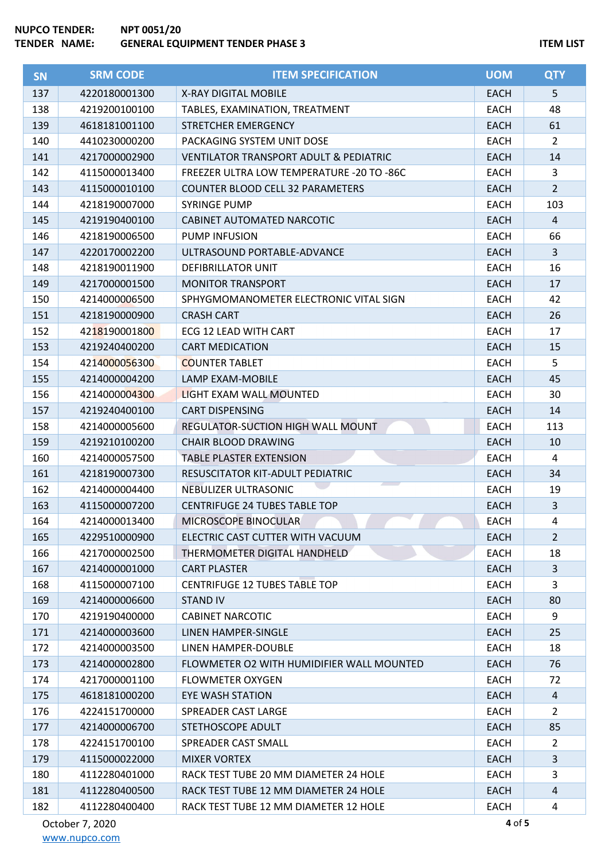# **NUPCO TENDER: NPT 0051/20 TERNERAL EQUIPMENT TENDER PHASE 3 ITEM LIST**

| <b>SN</b> | <b>SRM CODE</b> | <b>ITEM SPECIFICATION</b>                         | <b>UOM</b>  | <b>QTY</b>     |
|-----------|-----------------|---------------------------------------------------|-------------|----------------|
| 137       | 4220180001300   | <b>X-RAY DIGITAL MOBILE</b>                       | <b>EACH</b> | 5              |
| 138       | 4219200100100   | TABLES, EXAMINATION, TREATMENT                    | <b>EACH</b> | 48             |
| 139       | 4618181001100   | <b>STRETCHER EMERGENCY</b>                        | <b>EACH</b> | 61             |
| 140       | 4410230000200   | PACKAGING SYSTEM UNIT DOSE                        | <b>EACH</b> | $\overline{2}$ |
| 141       | 4217000002900   | <b>VENTILATOR TRANSPORT ADULT &amp; PEDIATRIC</b> | <b>EACH</b> | 14             |
| 142       | 4115000013400   | FREEZER ULTRA LOW TEMPERATURE -20 TO -86C         | EACH        | 3              |
| 143       | 4115000010100   | <b>COUNTER BLOOD CELL 32 PARAMETERS</b>           | EACH        | $\overline{2}$ |
| 144       | 4218190007000   | <b>SYRINGE PUMP</b>                               | <b>EACH</b> | 103            |
| 145       | 4219190400100   | CABINET AUTOMATED NARCOTIC                        | <b>EACH</b> | 4              |
| 146       | 4218190006500   | <b>PUMP INFUSION</b>                              | <b>EACH</b> | 66             |
| 147       | 4220170002200   | ULTRASOUND PORTABLE-ADVANCE                       | <b>EACH</b> | $\overline{3}$ |
| 148       | 4218190011900   | DEFIBRILLATOR UNIT                                | EACH        | 16             |
| 149       | 4217000001500   | <b>MONITOR TRANSPORT</b>                          | EACH        | 17             |
| 150       | 4214000006500   | SPHYGMOMANOMETER ELECTRONIC VITAL SIGN            | EACH        | 42             |
| 151       | 4218190000900   | <b>CRASH CART</b>                                 | <b>EACH</b> | 26             |
| 152       | 4218190001800   | ECG 12 LEAD WITH CART                             | <b>EACH</b> | 17             |
| 153       | 4219240400200   | <b>CART MEDICATION</b>                            | <b>EACH</b> | 15             |
| 154       | 4214000056300   | <b>COUNTER TABLET</b>                             | EACH        | 5              |
| 155       | 4214000004200   | LAMP EXAM-MOBILE                                  | EACH        | 45             |
| 156       | 4214000004300   | LIGHT EXAM WALL MOUNTED                           | <b>EACH</b> | 30             |
| 157       | 4219240400100   | <b>CART DISPENSING</b>                            | <b>EACH</b> | 14             |
| 158       | 4214000005600   | REGULATOR-SUCTION HIGH WALL MOUNT                 | <b>EACH</b> | 113            |
| 159       | 4219210100200   | <b>CHAIR BLOOD DRAWING</b>                        | <b>EACH</b> | 10             |
| 160       | 4214000057500   | <b>TABLE PLASTER EXTENSION</b>                    | EACH        | 4              |
| 161       | 4218190007300   | RESUSCITATOR KIT-ADULT PEDIATRIC                  | <b>EACH</b> | 34             |
| 162       | 4214000004400   | NEBULIZER ULTRASONIC                              | <b>EACH</b> | 19             |
| 163       | 4115000007200   | <b>CENTRIFUGE 24 TUBES TABLE TOP</b>              | <b>EACH</b> | $\overline{3}$ |
| 164       | 4214000013400   | MICROSCOPE BINOCULAR                              | <b>EACH</b> | 4              |
| 165       | 4229510000900   | ELECTRIC CAST CUTTER WITH VACUUM                  | <b>EACH</b> | $\overline{2}$ |
| 166       | 4217000002500   | THERMOMETER DIGITAL HANDHELD                      | <b>EACH</b> | 18             |
| 167       | 4214000001000   | <b>CART PLASTER</b>                               | <b>EACH</b> | $\overline{3}$ |
| 168       | 4115000007100   | <b>CENTRIFUGE 12 TUBES TABLE TOP</b>              | <b>EACH</b> | 3              |
| 169       | 4214000006600   | <b>STAND IV</b>                                   | <b>EACH</b> | 80             |
| 170       | 4219190400000   | <b>CABINET NARCOTIC</b>                           | <b>EACH</b> | 9              |
| 171       | 4214000003600   | LINEN HAMPER-SINGLE                               | <b>EACH</b> | 25             |
| 172       | 4214000003500   | LINEN HAMPER-DOUBLE                               | <b>EACH</b> | 18             |
| 173       | 4214000002800   | FLOWMETER O2 WITH HUMIDIFIER WALL MOUNTED         | <b>EACH</b> | 76             |
| 174       | 4217000001100   | <b>FLOWMETER OXYGEN</b>                           | EACH        | 72             |
| 175       | 4618181000200   | <b>EYE WASH STATION</b>                           | <b>EACH</b> | $\overline{4}$ |
| 176       | 4224151700000   | SPREADER CAST LARGE                               | <b>EACH</b> | $\overline{2}$ |
| 177       | 4214000006700   | STETHOSCOPE ADULT                                 | <b>EACH</b> | 85             |
| 178       | 4224151700100   | SPREADER CAST SMALL                               | EACH        | $\overline{2}$ |
| 179       | 4115000022000   | <b>MIXER VORTEX</b>                               | <b>EACH</b> | $\overline{3}$ |
| 180       | 4112280401000   | RACK TEST TUBE 20 MM DIAMETER 24 HOLE             | <b>EACH</b> | 3              |
| 181       | 4112280400500   | RACK TEST TUBE 12 MM DIAMETER 24 HOLE             | EACH        | $\overline{4}$ |
| 182       | 4112280400400   | RACK TEST TUBE 12 MM DIAMETER 12 HOLE             | <b>EACH</b> | 4              |